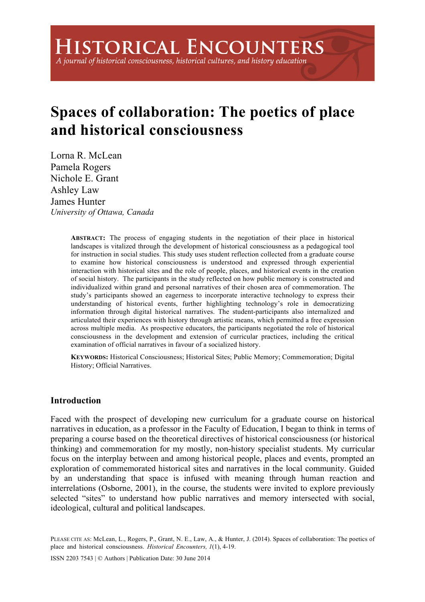# **Spaces of collaboration: The poetics of place and historical consciousness**

Lorna R. McLean Pamela Rogers Nichole E. Grant Ashley Law James Hunter *University of Ottawa, Canada* 

> **ABSTRACT:** The process of engaging students in the negotiation of their place in historical landscapes is vitalized through the development of historical consciousness as a pedagogical tool for instruction in social studies. This study uses student reflection collected from a graduate course to examine how historical consciousness is understood and expressed through experiential interaction with historical sites and the role of people, places, and historical events in the creation of social history. The participants in the study reflected on how public memory is constructed and individualized within grand and personal narratives of their chosen area of commemoration. The study's participants showed an eagerness to incorporate interactive technology to express their understanding of historical events, further highlighting technology's role in democratizing information through digital historical narratives. The student-participants also internalized and articulated their experiences with history through artistic means, which permitted a free expression across multiple media. As prospective educators, the participants negotiated the role of historical consciousness in the development and extension of curricular practices, including the critical examination of official narratives in favour of a socialized history.

> **KEYWORDS:** Historical Consciousness; Historical Sites; Public Memory; Commemoration; Digital History; Official Narratives.

# **Introduction**

Faced with the prospect of developing new curriculum for a graduate course on historical narratives in education, as a professor in the Faculty of Education, I began to think in terms of preparing a course based on the theoretical directives of historical consciousness (or historical thinking) and commemoration for my mostly, non-history specialist students. My curricular focus on the interplay between and among historical people, places and events, prompted an exploration of commemorated historical sites and narratives in the local community. Guided by an understanding that space is infused with meaning through human reaction and interrelations (Osborne, 2001), in the course, the students were invited to explore previously selected "sites" to understand how public narratives and memory intersected with social, ideological, cultural and political landscapes.

PLEASE CITE AS: McLean, L., Rogers, P., Grant, N. E., Law, A., & Hunter, J. (2014). Spaces of collaboration: The poetics of place and historical consciousness. *Historical Encounters, 1*(1), 4-19.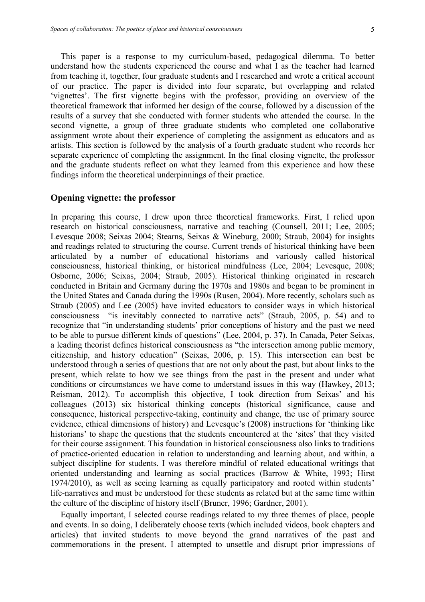This paper is a response to my curriculum-based, pedagogical dilemma. To better understand how the students experienced the course and what I as the teacher had learned from teaching it, together, four graduate students and I researched and wrote a critical account of our practice. The paper is divided into four separate, but overlapping and related 'vignettes'. The first vignette begins with the professor, providing an overview of the theoretical framework that informed her design of the course, followed by a discussion of the results of a survey that she conducted with former students who attended the course. In the second vignette, a group of three graduate students who completed one collaborative assignment wrote about their experience of completing the assignment as educators and as artists. This section is followed by the analysis of a fourth graduate student who records her separate experience of completing the assignment. In the final closing vignette, the professor and the graduate students reflect on what they learned from this experience and how these findings inform the theoretical underpinnings of their practice.

#### **Opening vignette: the professor**

In preparing this course, I drew upon three theoretical frameworks. First, I relied upon research on historical consciousness, narrative and teaching (Counsell, 2011; Lee, 2005; Levesque 2008; Seixas 2004; Stearns, Seixas & Wineburg, 2000; Straub, 2004) for insights and readings related to structuring the course. Current trends of historical thinking have been articulated by a number of educational historians and variously called historical consciousness, historical thinking, or historical mindfulness (Lee, 2004; Levesque, 2008; Osborne, 2006; Seixas, 2004; Straub, 2005). Historical thinking originated in research conducted in Britain and Germany during the 1970s and 1980s and began to be prominent in the United States and Canada during the 1990s (Rusen, 2004). More recently, scholars such as Straub (2005) and Lee (2005) have invited educators to consider ways in which historical consciousness "is inevitably connected to narrative acts" (Straub, 2005, p. 54) and to recognize that "in understanding students' prior conceptions of history and the past we need to be able to pursue different kinds of questions" (Lee, 2004, p. 37). In Canada, Peter Seixas, a leading theorist defines historical consciousness as "the intersection among public memory, citizenship, and history education" (Seixas, 2006, p. 15). This intersection can best be understood through a series of questions that are not only about the past, but about links to the present, which relate to how we see things from the past in the present and under what conditions or circumstances we have come to understand issues in this way (Hawkey, 2013; Reisman, 2012). To accomplish this objective, I took direction from Seixas' and his colleagues (2013) six historical thinking concepts (historical significance, cause and consequence, historical perspective-taking, continuity and change, the use of primary source evidence, ethical dimensions of history) and Levesque's (2008) instructions for 'thinking like historians' to shape the questions that the students encountered at the 'sites' that they visited for their course assignment. This foundation in historical consciousness also links to traditions of practice-oriented education in relation to understanding and learning about, and within, a subject discipline for students. I was therefore mindful of related educational writings that oriented understanding and learning as social practices (Barrow & White, 1993; Hirst 1974/2010), as well as seeing learning as equally participatory and rooted within students' life-narratives and must be understood for these students as related but at the same time within the culture of the discipline of history itself (Bruner, 1996; Gardner, 2001).

Equally important, I selected course readings related to my three themes of place, people and events. In so doing, I deliberately choose texts (which included videos, book chapters and articles) that invited students to move beyond the grand narratives of the past and commemorations in the present. I attempted to unsettle and disrupt prior impressions of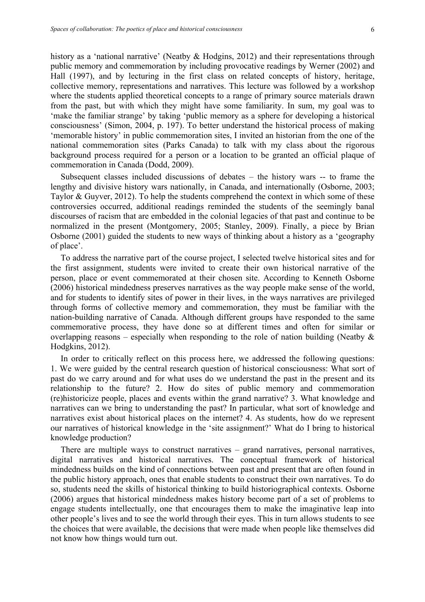history as a 'national narrative' (Neatby & Hodgins, 2012) and their representations through public memory and commemoration by including provocative readings by Werner (2002) and Hall (1997), and by lecturing in the first class on related concepts of history, heritage, collective memory, representations and narratives. This lecture was followed by a workshop where the students applied theoretical concepts to a range of primary source materials drawn from the past, but with which they might have some familiarity. In sum, my goal was to 'make the familiar strange' by taking 'public memory as a sphere for developing a historical consciousness' (Simon, 2004, p. 197). To better understand the historical process of making 'memorable history' in public commemoration sites, I invited an historian from the one of the national commemoration sites (Parks Canada) to talk with my class about the rigorous background process required for a person or a location to be granted an official plaque of commemoration in Canada (Dodd, 2009).

Subsequent classes included discussions of debates – the history wars -- to frame the lengthy and divisive history wars nationally, in Canada, and internationally (Osborne, 2003; Taylor & Guyver, 2012). To help the students comprehend the context in which some of these controversies occurred, additional readings reminded the students of the seemingly banal discourses of racism that are embedded in the colonial legacies of that past and continue to be normalized in the present (Montgomery, 2005; Stanley, 2009). Finally, a piece by Brian Osborne (2001) guided the students to new ways of thinking about a history as a 'geography of place'.

To address the narrative part of the course project, I selected twelve historical sites and for the first assignment, students were invited to create their own historical narrative of the person, place or event commemorated at their chosen site. According to Kenneth Osborne (2006) historical mindedness preserves narratives as the way people make sense of the world, and for students to identify sites of power in their lives, in the ways narratives are privileged through forms of collective memory and commemoration, they must be familiar with the nation-building narrative of Canada. Although different groups have responded to the same commemorative process, they have done so at different times and often for similar or overlapping reasons – especially when responding to the role of nation building (Neatby  $\&$ Hodgkins, 2012).

In order to critically reflect on this process here, we addressed the following questions: 1. We were guided by the central research question of historical consciousness: What sort of past do we carry around and for what uses do we understand the past in the present and its relationship to the future? 2. How do sites of public memory and commemoration (re)historicize people, places and events within the grand narrative? 3. What knowledge and narratives can we bring to understanding the past? In particular, what sort of knowledge and narratives exist about historical places on the internet? 4. As students, how do we represent our narratives of historical knowledge in the 'site assignment?' What do I bring to historical knowledge production?

There are multiple ways to construct narratives – grand narratives, personal narratives, digital narratives and historical narratives. The conceptual framework of historical mindedness builds on the kind of connections between past and present that are often found in the public history approach, ones that enable students to construct their own narratives. To do so, students need the skills of historical thinking to build historiographical contexts. Osborne (2006) argues that historical mindedness makes history become part of a set of problems to engage students intellectually, one that encourages them to make the imaginative leap into other people's lives and to see the world through their eyes. This in turn allows students to see the choices that were available, the decisions that were made when people like themselves did not know how things would turn out.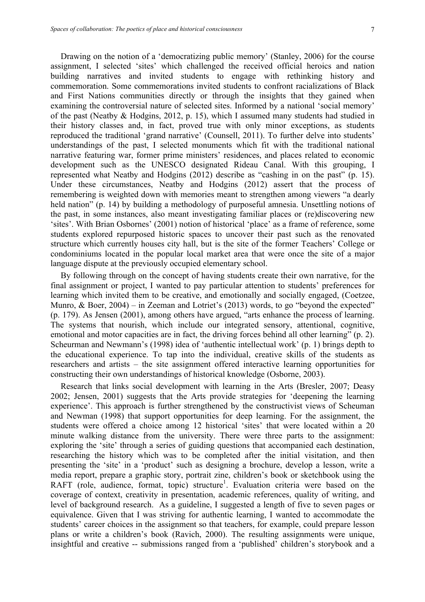Drawing on the notion of a 'democratizing public memory' (Stanley, 2006) for the course assignment, I selected 'sites' which challenged the received official heroics and nation building narratives and invited students to engage with rethinking history and commemoration. Some commemorations invited students to confront racializations of Black and First Nations communities directly or through the insights that they gained when examining the controversial nature of selected sites. Informed by a national 'social memory' of the past (Neatby & Hodgins, 2012, p. 15), which I assumed many students had studied in their history classes and, in fact, proved true with only minor exceptions, as students reproduced the traditional 'grand narrative' (Counsell, 2011). To further delve into students' understandings of the past, I selected monuments which fit with the traditional national narrative featuring war, former prime ministers' residences, and places related to economic development such as the UNESCO designated Rideau Canal. With this grouping, I represented what Neatby and Hodgins (2012) describe as "cashing in on the past" (p. 15). Under these circumstances, Neatby and Hodgins (2012) assert that the process of remembering is weighted down with memories meant to strengthen among viewers "a dearly held nation" (p. 14) by building a methodology of purposeful amnesia. Unsettling notions of the past, in some instances, also meant investigating familiar places or (re)discovering new 'sites'. With Brian Osbornes' (2001) notion of historical 'place' as a frame of reference, some students explored repurposed historic spaces to uncover their past such as the renovated structure which currently houses city hall, but is the site of the former Teachers' College or condominiums located in the popular local market area that were once the site of a major language dispute at the previously occupied elementary school.

By following through on the concept of having students create their own narrative, for the final assignment or project, I wanted to pay particular attention to students' preferences for learning which invited them to be creative, and emotionally and socially engaged, (Coetzee, Munro, & Boer, 2004) – in Zeeman and Lotriet's (2013) words, to go "beyond the expected" (p. 179). As Jensen (2001), among others have argued, "arts enhance the process of learning. The systems that nourish, which include our integrated sensory, attentional, cognitive, emotional and motor capacities are in fact, the driving forces behind all other learning" (p. 2). Scheurman and Newmann's (1998) idea of 'authentic intellectual work' (p. 1) brings depth to the educational experience. To tap into the individual, creative skills of the students as researchers and artists – the site assignment offered interactive learning opportunities for constructing their own understandings of historical knowledge (Osborne, 2003).

Research that links social development with learning in the Arts (Bresler, 2007; Deasy 2002; Jensen, 2001) suggests that the Arts provide strategies for 'deepening the learning experience'. This approach is further strengthened by the constructivist views of Scheuman and Newman (1998) that support opportunities for deep learning. For the assignment, the students were offered a choice among 12 historical 'sites' that were located within a 20 minute walking distance from the university. There were three parts to the assignment: exploring the 'site' through a series of guiding questions that accompanied each destination, researching the history which was to be completed after the initial visitation, and then presenting the 'site' in a 'product' such as designing a brochure, develop a lesson, write a media report, prepare a graphic story, portrait zine, children's book or sketchbook using the RAFT (role, audience, format, topic) structure<sup>1</sup>. Evaluation criteria were based on the coverage of context, creativity in presentation, academic references, quality of writing, and level of background research. As a guideline, I suggested a length of five to seven pages or equivalence. Given that I was striving for authentic learning, I wanted to accommodate the students' career choices in the assignment so that teachers, for example, could prepare lesson plans or write a children's book (Ravich, 2000). The resulting assignments were unique, insightful and creative -- submissions ranged from a 'published' children's storybook and a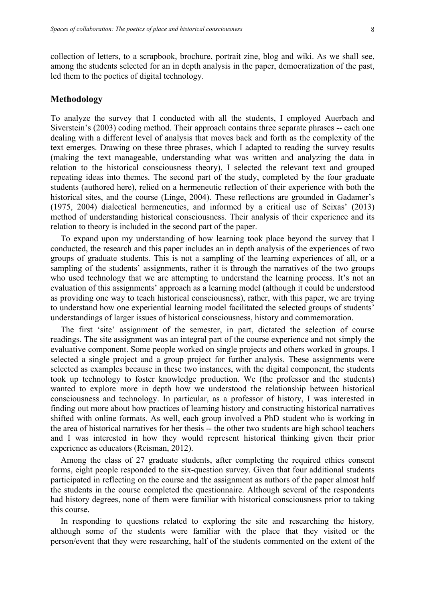collection of letters, to a scrapbook, brochure, portrait zine, blog and wiki. As we shall see, among the students selected for an in depth analysis in the paper, democratization of the past, led them to the poetics of digital technology.

# **Methodology**

To analyze the survey that I conducted with all the students, I employed Auerbach and Siverstein's (2003) coding method. Their approach contains three separate phrases -- each one dealing with a different level of analysis that moves back and forth as the complexity of the text emerges. Drawing on these three phrases, which I adapted to reading the survey results (making the text manageable, understanding what was written and analyzing the data in relation to the historical consciousness theory), I selected the relevant text and grouped repeating ideas into themes. The second part of the study, completed by the four graduate students (authored here), relied on a hermeneutic reflection of their experience with both the historical sites, and the course (Linge, 2004). These reflections are grounded in Gadamer's (1975, 2004) dialectical hermeneutics, and informed by a critical use of Seixas' (2013) method of understanding historical consciousness. Their analysis of their experience and its relation to theory is included in the second part of the paper.

To expand upon my understanding of how learning took place beyond the survey that I conducted, the research and this paper includes an in depth analysis of the experiences of two groups of graduate students. This is not a sampling of the learning experiences of all, or a sampling of the students' assignments, rather it is through the narratives of the two groups who used technology that we are attempting to understand the learning process. It's not an evaluation of this assignments' approach as a learning model (although it could be understood as providing one way to teach historical consciousness), rather, with this paper, we are trying to understand how one experiential learning model facilitated the selected groups of students' understandings of larger issues of historical consciousness, history and commemoration.

The first 'site' assignment of the semester, in part, dictated the selection of course readings. The site assignment was an integral part of the course experience and not simply the evaluative component. Some people worked on single projects and others worked in groups. I selected a single project and a group project for further analysis. These assignments were selected as examples because in these two instances, with the digital component, the students took up technology to foster knowledge production. We (the professor and the students) wanted to explore more in depth how we understood the relationship between historical consciousness and technology. In particular, as a professor of history, I was interested in finding out more about how practices of learning history and constructing historical narratives shifted with online formats. As well, each group involved a PhD student who is working in the area of historical narratives for her thesis -- the other two students are high school teachers and I was interested in how they would represent historical thinking given their prior experience as educators (Reisman, 2012).

Among the class of 27 graduate students, after completing the required ethics consent forms, eight people responded to the six-question survey. Given that four additional students participated in reflecting on the course and the assignment as authors of the paper almost half the students in the course completed the questionnaire. Although several of the respondents had history degrees, none of them were familiar with historical consciousness prior to taking this course.

In responding to questions related to exploring the site and researching the history*,*  although some of the students were familiar with the place that they visited or the person/event that they were researching, half of the students commented on the extent of the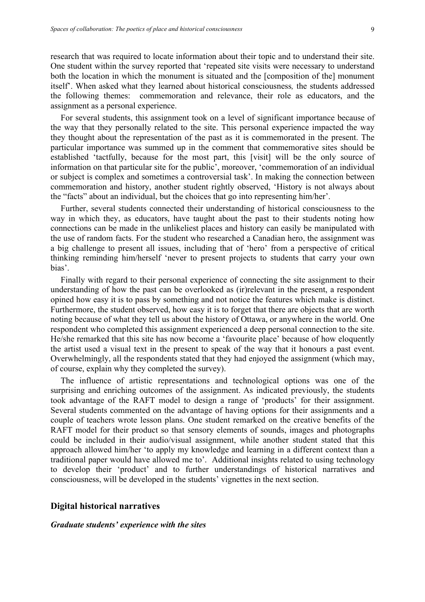research that was required to locate information about their topic and to understand their site. One student within the survey reported that 'repeated site visits were necessary to understand both the location in which the monument is situated and the [composition of the] monument itself'. When asked what they learned about historical consciousness*,* the students addressed the following themes: commemoration and relevance, their role as educators, and the assignment as a personal experience.

For several students, this assignment took on a level of significant importance because of the way that they personally related to the site. This personal experience impacted the way they thought about the representation of the past as it is commemorated in the present. The particular importance was summed up in the comment that commemorative sites should be established 'tactfully, because for the most part, this [visit] will be the only source of information on that particular site for the public', moreover, 'commemoration of an individual or subject is complex and sometimes a controversial task'. In making the connection between commemoration and history, another student rightly observed, 'History is not always about the "facts" about an individual, but the choices that go into representing him/her'.

Further, several students connected their understanding of historical consciousness to the way in which they, as educators, have taught about the past to their students noting how connections can be made in the unlikeliest places and history can easily be manipulated with the use of random facts. For the student who researched a Canadian hero, the assignment was a big challenge to present all issues, including that of 'hero' from a perspective of critical thinking reminding him/herself 'never to present projects to students that carry your own bias'.

Finally with regard to their personal experience of connecting the site assignment to their understanding of how the past can be overlooked as (ir)relevant in the present, a respondent opined how easy it is to pass by something and not notice the features which make is distinct. Furthermore, the student observed, how easy it is to forget that there are objects that are worth noting because of what they tell us about the history of Ottawa, or anywhere in the world. One respondent who completed this assignment experienced a deep personal connection to the site. He/she remarked that this site has now become a 'favourite place' because of how eloquently the artist used a visual text in the present to speak of the way that it honours a past event. Overwhelmingly, all the respondents stated that they had enjoyed the assignment (which may, of course, explain why they completed the survey).

The influence of artistic representations and technological options was one of the surprising and enriching outcomes of the assignment. As indicated previously, the students took advantage of the RAFT model to design a range of 'products' for their assignment. Several students commented on the advantage of having options for their assignments and a couple of teachers wrote lesson plans. One student remarked on the creative benefits of the RAFT model for their product so that sensory elements of sounds, images and photographs could be included in their audio/visual assignment, while another student stated that this approach allowed him/her 'to apply my knowledge and learning in a different context than a traditional paper would have allowed me to'. Additional insights related to using technology to develop their 'product' and to further understandings of historical narratives and consciousness, will be developed in the students' vignettes in the next section.

#### **Digital historical narratives**

#### *Graduate students' experience with the sites*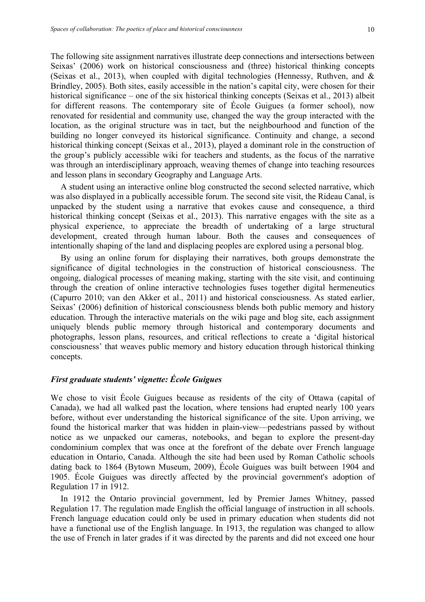The following site assignment narratives illustrate deep connections and intersections between Seixas' (2006) work on historical consciousness and (three) historical thinking concepts (Seixas et al., 2013), when coupled with digital technologies (Hennessy, Ruthven, and  $\&$ Brindley, 2005). Both sites, easily accessible in the nation's capital city, were chosen for their historical significance – one of the six historical thinking concepts (Seixas et al., 2013) albeit for different reasons. The contemporary site of École Guigues (a former school), now renovated for residential and community use, changed the way the group interacted with the location, as the original structure was in tact, but the neighbourhood and function of the building no longer conveyed its historical significance. Continuity and change, a second historical thinking concept (Seixas et al., 2013), played a dominant role in the construction of the group's publicly accessible wiki for teachers and students, as the focus of the narrative was through an interdisciplinary approach, weaving themes of change into teaching resources and lesson plans in secondary Geography and Language Arts.

A student using an interactive online blog constructed the second selected narrative, which was also displayed in a publically accessible forum. The second site visit, the Rideau Canal, is unpacked by the student using a narrative that evokes cause and consequence, a third historical thinking concept (Seixas et al., 2013). This narrative engages with the site as a physical experience, to appreciate the breadth of undertaking of a large structural development, created through human labour. Both the causes and consequences of intentionally shaping of the land and displacing peoples are explored using a personal blog.

By using an online forum for displaying their narratives, both groups demonstrate the significance of digital technologies in the construction of historical consciousness. The ongoing, dialogical processes of meaning making, starting with the site visit, and continuing through the creation of online interactive technologies fuses together digital hermeneutics (Capurro 2010; van den Akker et al., 2011) and historical consciousness. As stated earlier, Seixas' (2006) definition of historical consciousness blends both public memory and history education. Through the interactive materials on the wiki page and blog site, each assignment uniquely blends public memory through historical and contemporary documents and photographs, lesson plans, resources, and critical reflections to create a 'digital historical consciousness' that weaves public memory and history education through historical thinking concepts.

# *First graduate students' vignette: École Guigues*

We chose to visit École Guigues because as residents of the city of Ottawa (capital of Canada), we had all walked past the location, where tensions had erupted nearly 100 years before, without ever understanding the historical significance of the site. Upon arriving, we found the historical marker that was hidden in plain-view—pedestrians passed by without notice as we unpacked our cameras, notebooks, and began to explore the present-day condominium complex that was once at the forefront of the debate over French language education in Ontario, Canada. Although the site had been used by Roman Catholic schools dating back to 1864 (Bytown Museum, 2009), École Guigues was built between 1904 and 1905. École Guigues was directly affected by the provincial government's adoption of Regulation 17 in 1912.

In 1912 the Ontario provincial government, led by Premier James Whitney, passed Regulation 17. The regulation made English the official language of instruction in all schools. French language education could only be used in primary education when students did not have a functional use of the English language. In 1913, the regulation was changed to allow the use of French in later grades if it was directed by the parents and did not exceed one hour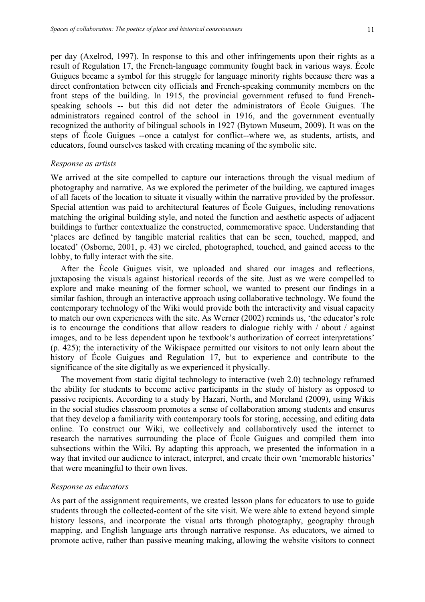per day (Axelrod, 1997). In response to this and other infringements upon their rights as a result of Regulation 17, the French-language community fought back in various ways. École Guigues became a symbol for this struggle for language minority rights because there was a direct confrontation between city officials and French-speaking community members on the front steps of the building. In 1915, the provincial government refused to fund Frenchspeaking schools -- but this did not deter the administrators of École Guigues. The administrators regained control of the school in 1916, and the government eventually recognized the authority of bilingual schools in 1927 (Bytown Museum, 2009). It was on the steps of École Guigues --once a catalyst for conflict--where we, as students, artists, and educators, found ourselves tasked with creating meaning of the symbolic site.

#### *Response as artists*

We arrived at the site compelled to capture our interactions through the visual medium of photography and narrative. As we explored the perimeter of the building, we captured images of all facets of the location to situate it visually within the narrative provided by the professor. Special attention was paid to architectural features of École Guigues, including renovations matching the original building style, and noted the function and aesthetic aspects of adjacent buildings to further contextualize the constructed, commemorative space. Understanding that 'places are defined by tangible material realities that can be seen, touched, mapped, and located' (Osborne, 2001, p. 43) we circled, photographed, touched, and gained access to the lobby, to fully interact with the site.

After the École Guigues visit, we uploaded and shared our images and reflections, juxtaposing the visuals against historical records of the site. Just as we were compelled to explore and make meaning of the former school, we wanted to present our findings in a similar fashion, through an interactive approach using collaborative technology. We found the contemporary technology of the Wiki would provide both the interactivity and visual capacity to match our own experiences with the site. As Werner (2002) reminds us, 'the educator's role is to encourage the conditions that allow readers to dialogue richly with / about / against images, and to be less dependent upon he textbook's authorization of correct interpretations' (p. 425); the interactivity of the Wikispace permitted our visitors to not only learn about the history of École Guigues and Regulation 17, but to experience and contribute to the significance of the site digitally as we experienced it physically.

The movement from static digital technology to interactive (web 2.0) technology reframed the ability for students to become active participants in the study of history as opposed to passive recipients. According to a study by Hazari, North, and Moreland (2009), using Wikis in the social studies classroom promotes a sense of collaboration among students and ensures that they develop a familiarity with contemporary tools for storing, accessing, and editing data online. To construct our Wiki, we collectively and collaboratively used the internet to research the narratives surrounding the place of École Guigues and compiled them into subsections within the Wiki. By adapting this approach, we presented the information in a way that invited our audience to interact, interpret, and create their own 'memorable histories' that were meaningful to their own lives.

## *Response as educators*

As part of the assignment requirements, we created lesson plans for educators to use to guide students through the collected-content of the site visit. We were able to extend beyond simple history lessons, and incorporate the visual arts through photography, geography through mapping, and English language arts through narrative response. As educators, we aimed to promote active, rather than passive meaning making, allowing the website visitors to connect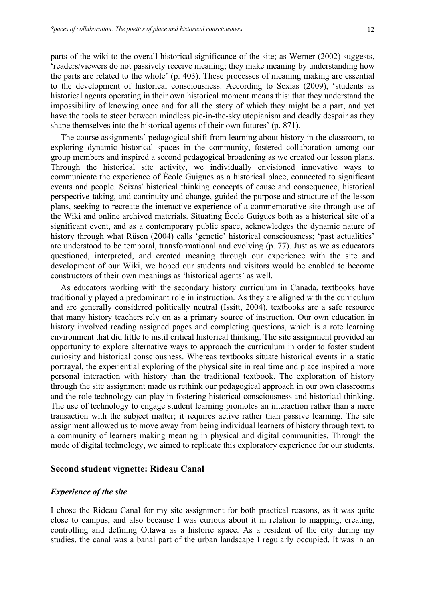shape themselves into the historical agents of their own futures' (p. 871).

parts of the wiki to the overall historical significance of the site; as Werner (2002) suggests, 'readers/viewers do not passively receive meaning; they make meaning by understanding how the parts are related to the whole' (p. 403). These processes of meaning making are essential to the development of historical consciousness. According to Sexias (2009), 'students as historical agents operating in their own historical moment means this: that they understand the impossibility of knowing once and for all the story of which they might be a part, and yet have the tools to steer between mindless pie-in-the-sky utopianism and deadly despair as they

The course assignments' pedagogical shift from learning about history in the classroom, to exploring dynamic historical spaces in the community, fostered collaboration among our group members and inspired a second pedagogical broadening as we created our lesson plans. Through the historical site activity, we individually envisioned innovative ways to communicate the experience of École Guigues as a historical place, connected to significant events and people. Seixas' historical thinking concepts of cause and consequence, historical perspective-taking, and continuity and change, guided the purpose and structure of the lesson plans, seeking to recreate the interactive experience of a commemorative site through use of the Wiki and online archived materials. Situating École Guigues both as a historical site of a significant event, and as a contemporary public space, acknowledges the dynamic nature of history through what Rüsen (2004) calls 'genetic' historical consciousness; 'past actualities' are understood to be temporal, transformational and evolving (p. 77). Just as we as educators questioned, interpreted, and created meaning through our experience with the site and development of our Wiki, we hoped our students and visitors would be enabled to become constructors of their own meanings as 'historical agents' as well.

As educators working with the secondary history curriculum in Canada, textbooks have traditionally played a predominant role in instruction. As they are aligned with the curriculum and are generally considered politically neutral (Issitt, 2004), textbooks are a safe resource that many history teachers rely on as a primary source of instruction. Our own education in history involved reading assigned pages and completing questions, which is a rote learning environment that did little to instil critical historical thinking. The site assignment provided an opportunity to explore alternative ways to approach the curriculum in order to foster student curiosity and historical consciousness. Whereas textbooks situate historical events in a static portrayal, the experiential exploring of the physical site in real time and place inspired a more personal interaction with history than the traditional textbook. The exploration of history through the site assignment made us rethink our pedagogical approach in our own classrooms and the role technology can play in fostering historical consciousness and historical thinking. The use of technology to engage student learning promotes an interaction rather than a mere transaction with the subject matter; it requires active rather than passive learning. The site assignment allowed us to move away from being individual learners of history through text, to a community of learners making meaning in physical and digital communities. Through the mode of digital technology, we aimed to replicate this exploratory experience for our students.

### **Second student vignette: Rideau Canal**

#### *Experience of the site*

I chose the Rideau Canal for my site assignment for both practical reasons, as it was quite close to campus, and also because I was curious about it in relation to mapping, creating, controlling and defining Ottawa as a historic space. As a resident of the city during my studies, the canal was a banal part of the urban landscape I regularly occupied. It was in an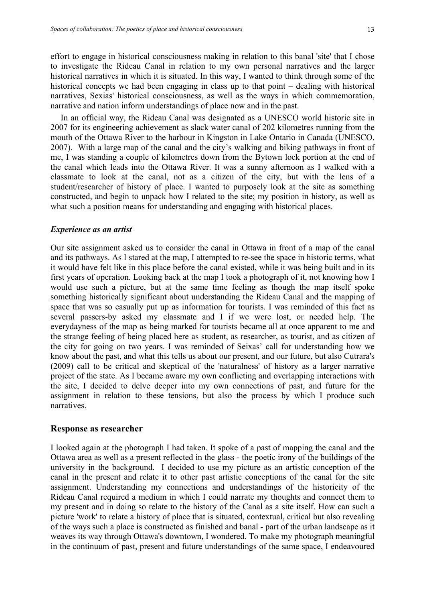effort to engage in historical consciousness making in relation to this banal 'site' that I chose to investigate the Rideau Canal in relation to my own personal narratives and the larger historical narratives in which it is situated. In this way, I wanted to think through some of the historical concepts we had been engaging in class up to that point – dealing with historical narratives, Sexias' historical consciousness, as well as the ways in which commemoration, narrative and nation inform understandings of place now and in the past.

In an official way, the Rideau Canal was designated as a UNESCO world historic site in 2007 for its engineering achievement as slack water canal of 202 kilometres running from the mouth of the Ottawa River to the harbour in Kingston in Lake Ontario in Canada (UNESCO, 2007). With a large map of the canal and the city's walking and biking pathways in front of me, I was standing a couple of kilometres down from the Bytown lock portion at the end of the canal which leads into the Ottawa River. It was a sunny afternoon as I walked with a classmate to look at the canal, not as a citizen of the city, but with the lens of a student/researcher of history of place. I wanted to purposely look at the site as something constructed, and begin to unpack how I related to the site; my position in history, as well as what such a position means for understanding and engaging with historical places.

#### *Experience as an artist*

Our site assignment asked us to consider the canal in Ottawa in front of a map of the canal and its pathways. As I stared at the map, I attempted to re-see the space in historic terms, what it would have felt like in this place before the canal existed, while it was being built and in its first years of operation. Looking back at the map I took a photograph of it, not knowing how I would use such a picture, but at the same time feeling as though the map itself spoke something historically significant about understanding the Rideau Canal and the mapping of space that was so casually put up as information for tourists. I was reminded of this fact as several passers-by asked my classmate and I if we were lost, or needed help. The everydayness of the map as being marked for tourists became all at once apparent to me and the strange feeling of being placed here as student, as researcher, as tourist, and as citizen of the city for going on two years. I was reminded of Seixas' call for understanding how we know about the past, and what this tells us about our present, and our future, but also Cutrara's (2009) call to be critical and skeptical of the 'naturalness' of history as a larger narrative project of the state. As I became aware my own conflicting and overlapping interactions with the site, I decided to delve deeper into my own connections of past, and future for the assignment in relation to these tensions, but also the process by which I produce such narratives.

#### **Response as researcher**

I looked again at the photograph I had taken. It spoke of a past of mapping the canal and the Ottawa area as well as a present reflected in the glass - the poetic irony of the buildings of the university in the background. I decided to use my picture as an artistic conception of the canal in the present and relate it to other past artistic conceptions of the canal for the site assignment. Understanding my connections and understandings of the historicity of the Rideau Canal required a medium in which I could narrate my thoughts and connect them to my present and in doing so relate to the history of the Canal as a site itself. How can such a picture 'work' to relate a history of place that is situated, contextual, critical but also revealing of the ways such a place is constructed as finished and banal - part of the urban landscape as it weaves its way through Ottawa's downtown, I wondered. To make my photograph meaningful in the continuum of past, present and future understandings of the same space, I endeavoured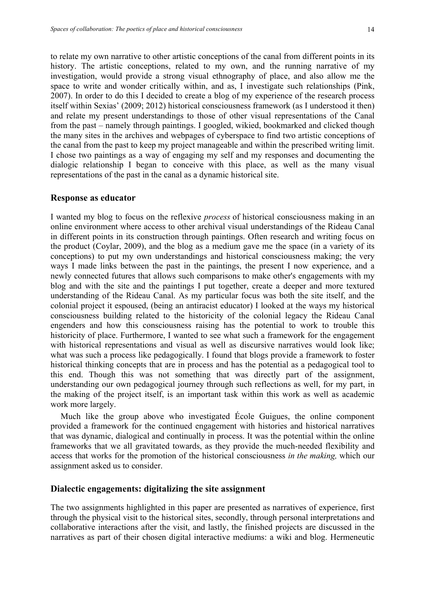to relate my own narrative to other artistic conceptions of the canal from different points in its history. The artistic conceptions, related to my own, and the running narrative of my investigation, would provide a strong visual ethnography of place, and also allow me the space to write and wonder critically within, and as, I investigate such relationships (Pink, 2007). In order to do this I decided to create a blog of my experience of the research process itself within Sexias' (2009; 2012) historical consciousness framework (as I understood it then) and relate my present understandings to those of other visual representations of the Canal from the past – namely through paintings. I googled, wikied, bookmarked and clicked though the many sites in the archives and webpages of cyberspace to find two artistic conceptions of the canal from the past to keep my project manageable and within the prescribed writing limit. I chose two paintings as a way of engaging my self and my responses and documenting the dialogic relationship I began to conceive with this place, as well as the many visual representations of the past in the canal as a dynamic historical site.

#### **Response as educator**

I wanted my blog to focus on the reflexive *process* of historical consciousness making in an online environment where access to other archival visual understandings of the Rideau Canal in different points in its construction through paintings. Often research and writing focus on the product (Coylar, 2009), and the blog as a medium gave me the space (in a variety of its conceptions) to put my own understandings and historical consciousness making; the very ways I made links between the past in the paintings, the present I now experience, and a newly connected futures that allows such comparisons to make other's engagements with my blog and with the site and the paintings I put together, create a deeper and more textured understanding of the Rideau Canal. As my particular focus was both the site itself, and the colonial project it espoused, (being an antiracist educator) I looked at the ways my historical consciousness building related to the historicity of the colonial legacy the Rideau Canal engenders and how this consciousness raising has the potential to work to trouble this historicity of place. Furthermore, I wanted to see what such a framework for the engagement with historical representations and visual as well as discursive narratives would look like; what was such a process like pedagogically. I found that blogs provide a framework to foster historical thinking concepts that are in process and has the potential as a pedagogical tool to this end. Though this was not something that was directly part of the assignment, understanding our own pedagogical journey through such reflections as well, for my part, in the making of the project itself, is an important task within this work as well as academic work more largely.

Much like the group above who investigated École Guigues, the online component provided a framework for the continued engagement with histories and historical narratives that was dynamic, dialogical and continually in process. It was the potential within the online frameworks that we all gravitated towards, as they provide the much-needed flexibility and access that works for the promotion of the historical consciousness *in the making,* which our assignment asked us to consider.

## **Dialectic engagements: digitalizing the site assignment**

The two assignments highlighted in this paper are presented as narratives of experience, first through the physical visit to the historical sites, secondly, through personal interpretations and collaborative interactions after the visit, and lastly, the finished projects are discussed in the narratives as part of their chosen digital interactive mediums: a wiki and blog. Hermeneutic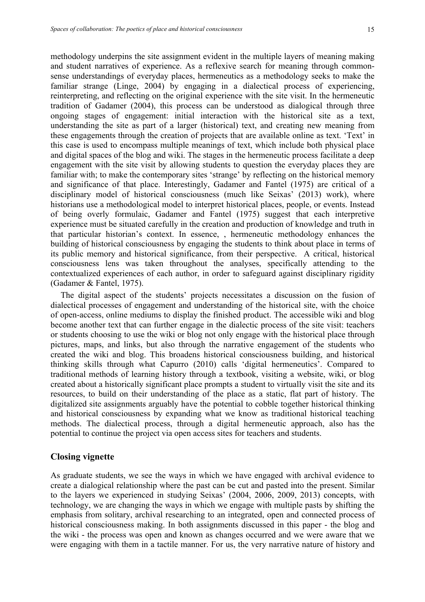methodology underpins the site assignment evident in the multiple layers of meaning making and student narratives of experience. As a reflexive search for meaning through commonsense understandings of everyday places, hermeneutics as a methodology seeks to make the familiar strange (Linge, 2004) by engaging in a dialectical process of experiencing, reinterpreting, and reflecting on the original experience with the site visit. In the hermeneutic tradition of Gadamer (2004), this process can be understood as dialogical through three ongoing stages of engagement: initial interaction with the historical site as a text, understanding the site as part of a larger (historical) text, and creating new meaning from these engagements through the creation of projects that are available online as text. 'Text' in this case is used to encompass multiple meanings of text, which include both physical place and digital spaces of the blog and wiki. The stages in the hermeneutic process facilitate a deep engagement with the site visit by allowing students to question the everyday places they are familiar with; to make the contemporary sites 'strange' by reflecting on the historical memory and significance of that place. Interestingly, Gadamer and Fantel (1975) are critical of a disciplinary model of historical consciousness (much like Seixas' (2013) work), where historians use a methodological model to interpret historical places, people, or events. Instead of being overly formulaic, Gadamer and Fantel (1975) suggest that each interpretive experience must be situated carefully in the creation and production of knowledge and truth in that particular historian's context. In essence, , hermeneutic methodology enhances the building of historical consciousness by engaging the students to think about place in terms of its public memory and historical significance, from their perspective. A critical, historical consciousness lens was taken throughout the analyses, specifically attending to the contextualized experiences of each author, in order to safeguard against disciplinary rigidity (Gadamer & Fantel, 1975).

The digital aspect of the students' projects necessitates a discussion on the fusion of dialectical processes of engagement and understanding of the historical site, with the choice of open-access, online mediums to display the finished product. The accessible wiki and blog become another text that can further engage in the dialectic process of the site visit: teachers or students choosing to use the wiki or blog not only engage with the historical place through pictures, maps, and links, but also through the narrative engagement of the students who created the wiki and blog. This broadens historical consciousness building, and historical thinking skills through what Capurro (2010) calls 'digital hermeneutics'. Compared to traditional methods of learning history through a textbook, visiting a website, wiki, or blog created about a historically significant place prompts a student to virtually visit the site and its resources, to build on their understanding of the place as a static, flat part of history. The digitalized site assignments arguably have the potential to cobble together historical thinking and historical consciousness by expanding what we know as traditional historical teaching methods. The dialectical process, through a digital hermeneutic approach, also has the potential to continue the project via open access sites for teachers and students.

#### **Closing vignette**

As graduate students, we see the ways in which we have engaged with archival evidence to create a dialogical relationship where the past can be cut and pasted into the present. Similar to the layers we experienced in studying Seixas' (2004, 2006, 2009, 2013) concepts, with technology, we are changing the ways in which we engage with multiple pasts by shifting the emphasis from solitary, archival researching to an integrated, open and connected process of historical consciousness making. In both assignments discussed in this paper - the blog and the wiki - the process was open and known as changes occurred and we were aware that we were engaging with them in a tactile manner. For us, the very narrative nature of history and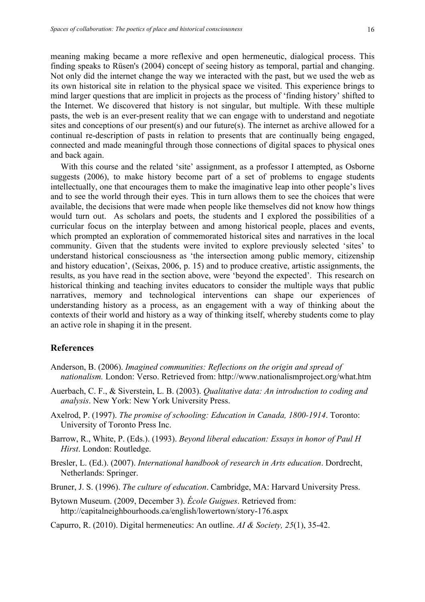meaning making became a more reflexive and open hermeneutic, dialogical process. This finding speaks to Rüsen's (2004) concept of seeing history as temporal, partial and changing. Not only did the internet change the way we interacted with the past, but we used the web as its own historical site in relation to the physical space we visited. This experience brings to mind larger questions that are implicit in projects as the process of 'finding history' shifted to the Internet. We discovered that history is not singular, but multiple. With these multiple pasts, the web is an ever-present reality that we can engage with to understand and negotiate sites and conceptions of our present(s) and our future(s). The internet as archive allowed for a continual re-description of pasts in relation to presents that are continually being engaged, connected and made meaningful through those connections of digital spaces to physical ones and back again.

With this course and the related 'site' assignment, as a professor I attempted, as Osborne suggests (2006), to make history become part of a set of problems to engage students intellectually, one that encourages them to make the imaginative leap into other people's lives and to see the world through their eyes. This in turn allows them to see the choices that were available, the decisions that were made when people like themselves did not know how things would turn out. As scholars and poets, the students and I explored the possibilities of a curricular focus on the interplay between and among historical people, places and events, which prompted an exploration of commemorated historical sites and narratives in the local community. Given that the students were invited to explore previously selected 'sites' to understand historical consciousness as 'the intersection among public memory, citizenship and history education', (Seixas, 2006, p. 15) and to produce creative, artistic assignments, the results, as you have read in the section above, were 'beyond the expected'. This research on historical thinking and teaching invites educators to consider the multiple ways that public narratives, memory and technological interventions can shape our experiences of understanding history as a process, as an engagement with a way of thinking about the contexts of their world and history as a way of thinking itself, whereby students come to play an active role in shaping it in the present.

# **References**

- Anderson, B. (2006). *Imagined communities: Reflections on the origin and spread of nationalism.* London: Verso. Retrieved from: http://www.nationalismproject.org/what.htm
- Auerbach, C. F., & Siverstein, L. B. (2003). *Qualitative data: An introduction to coding and analysis*. New York: New York University Press.
- Axelrod, P. (1997). *The promise of schooling: Education in Canada, 1800-1914*. Toronto: University of Toronto Press Inc.
- Barrow, R., White, P. (Eds.). (1993). *Beyond liberal education: Essays in honor of Paul H Hirst*. London: Routledge.
- Bresler, L. (Ed.). (2007). *International handbook of research in Arts education*. Dordrecht, Netherlands: Springer.
- Bruner, J. S. (1996). *The culture of education*. Cambridge, MA: Harvard University Press.
- Bytown Museum. (2009, December 3). *École Guigues*. Retrieved from: http://capitalneighbourhoods.ca/english/lowertown/story-176.aspx
- Capurro, R. (2010). Digital hermeneutics: An outline. *AI & Society, 25*(1), 35-42.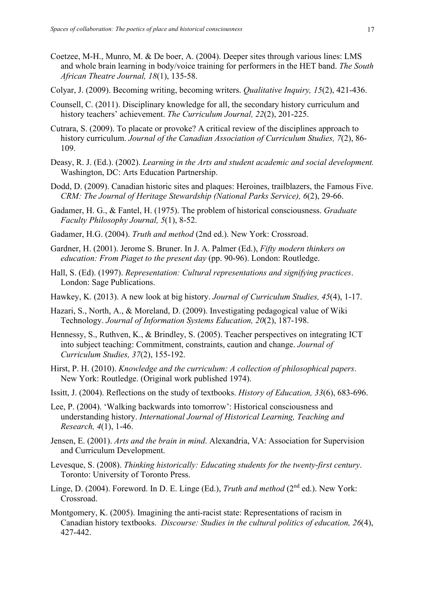- Coetzee, M-H., Munro, M. & De boer, A. (2004). Deeper sites through various lines: LMS and whole brain learning in body/voice training for performers in the HET band. *The South African Theatre Journal, 18*(1), 135-58.
- Colyar, J. (2009). Becoming writing, becoming writers. *Qualitative Inquiry, 15*(2), 421-436.
- Counsell, C. (2011). Disciplinary knowledge for all, the secondary history curriculum and history teachers' achievement. *The Curriculum Journal, 22*(2), 201-225.
- Cutrara, S. (2009). To placate or provoke? A critical review of the disciplines approach to history curriculum. *Journal of the Canadian Association of Curriculum Studies, 7*(2), 86- 109.
- Deasy, R. J. (Ed.). (2002). *Learning in the Arts and student academic and social development.* Washington, DC: Arts Education Partnership.
- Dodd, D. (2009). Canadian historic sites and plaques: Heroines, trailblazers, the Famous Five. *CRM: The Journal of Heritage Stewardship (National Parks Service), 6*(2), 29-66.
- Gadamer, H. G., & Fantel, H. (1975). The problem of historical consciousness. *Graduate Faculty Philosophy Journal, 5*(1), 8-52.
- Gadamer, H.G. (2004). *Truth and method* (2nd ed.). New York: Crossroad.
- Gardner, H. (2001). Jerome S. Bruner. In J. A. Palmer (Ed.), *Fifty modern thinkers on education: From Piaget to the present day* (pp. 90-96). London: Routledge.
- Hall, S. (Ed). (1997). *Representation: Cultural representations and signifying practices*. London: Sage Publications.
- Hawkey, K. (2013). A new look at big history. *Journal of Curriculum Studies, 45*(4), 1-17.
- Hazari, S., North, A., & Moreland, D. (2009). Investigating pedagogical value of Wiki Technology. *Journal of Information Systems Education, 20*(2), 187-198.
- Hennessy, S., Ruthven, K., & Brindley, S. (2005). Teacher perspectives on integrating ICT into subject teaching: Commitment, constraints, caution and change. *Journal of Curriculum Studies, 37*(2), 155-192.
- Hirst, P. H. (2010). *Knowledge and the curriculum: A collection of philosophical papers*. New York: Routledge. (Original work published 1974).
- Issitt, J. (2004). Reflections on the study of textbooks. *History of Education, 33*(6), 683-696.
- Lee, P. (2004). 'Walking backwards into tomorrow': Historical consciousness and understanding history. *International Journal of Historical Learning, Teaching and Research, 4*(1), 1-46.
- Jensen, E. (2001). *Arts and the brain in mind*. Alexandria, VA: Association for Supervision and Curriculum Development.
- Levesque, S. (2008). *Thinking historically: Educating students for the twenty-first century*. Toronto: University of Toronto Press.
- Linge, D. (2004). Foreword. In D. E. Linge (Ed.), *Truth and method* (2<sup>nd</sup> ed.). New York: Crossroad.
- Montgomery, K. (2005). Imagining the anti-racist state: Representations of racism in Canadian history textbooks. *Discourse: Studies in the cultural politics of education, 26*(4), 427-442.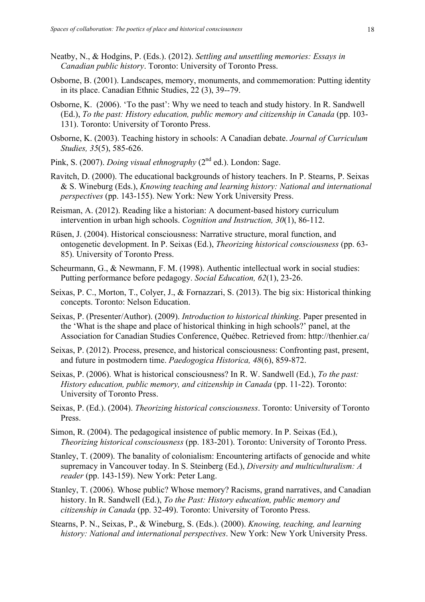- Neatby, N., & Hodgins, P. (Eds.). (2012). *Settling and unsettling memories: Essays in Canadian public history*. Toronto: University of Toronto Press.
- Osborne, B. (2001). Landscapes, memory, monuments, and commemoration: Putting identity in its place. Canadian Ethnic Studies, 22 (3), 39--79.
- Osborne, K. (2006). 'To the past': Why we need to teach and study history. In R. Sandwell (Ed.), *To the past: History education, public memory and citizenship in Canada* (pp. 103- 131). Toronto: University of Toronto Press.
- Osborne, K. (2003). Teaching history in schools: A Canadian debate. *Journal of Curriculum Studies, 35*(5), 585-626.
- Pink, S. (2007). *Doing visual ethnography* (2<sup>nd</sup> ed.). London: Sage.
- Ravitch, D. (2000). The educational backgrounds of history teachers. In P. Stearns, P. Seixas & S. Wineburg (Eds.), *Knowing teaching and learning history: National and international perspectives* (pp. 143-155). New York: New York University Press.
- Reisman, A. (2012). Reading like a historian: A document-based history curriculum intervention in urban high schools. *Cognition and Instruction, 30*(1), 86-112.
- Rüsen, J. (2004). Historical consciousness: Narrative structure, moral function, and ontogenetic development. In P. Seixas (Ed.), *Theorizing historical consciousness* (pp. 63- 85). University of Toronto Press.
- Scheurmann, G., & Newmann, F. M. (1998). Authentic intellectual work in social studies: Putting performance before pedagogy. *Social Education, 62*(1), 23-26.
- Seixas, P. C., Morton, T., Colyer, J., & Fornazzari, S. (2013). The big six: Historical thinking concepts. Toronto: Nelson Education.
- Seixas, P. (Presenter/Author). (2009). *Introduction to historical thinking*. Paper presented in the 'What is the shape and place of historical thinking in high schools?' panel, at the Association for Canadian Studies Conference, Québec. Retrieved from: http://thenhier.ca/
- Seixas, P. (2012). Process, presence, and historical consciousness: Confronting past, present, and future in postmodern time. *Paedogogica Historica, 48*(6), 859-872.
- Seixas, P. (2006). What is historical consciousness? In R. W. Sandwell (Ed.), *To the past: History education, public memory, and citizenship in Canada* (pp. 11-22). Toronto: University of Toronto Press.
- Seixas, P. (Ed.). (2004). *Theorizing historical consciousness*. Toronto: University of Toronto Press.
- Simon, R. (2004). The pedagogical insistence of public memory. In P. Seixas (Ed.), *Theorizing historical consciousness* (pp. 183-201). Toronto: University of Toronto Press.
- Stanley, T. (2009). The banality of colonialism: Encountering artifacts of genocide and white supremacy in Vancouver today. In S. Steinberg (Ed.), *Diversity and multiculturalism: A reader* (pp. 143-159). New York: Peter Lang.
- Stanley, T. (2006). Whose public? Whose memory? Racisms, grand narratives, and Canadian history. In R. Sandwell (Ed.), *To the Past: History education, public memory and citizenship in Canada* (pp. 32-49). Toronto: University of Toronto Press.
- Stearns, P. N., Seixas, P., & Wineburg, S. (Eds.). (2000). *Knowing, teaching, and learning history: National and international perspectives*. New York: New York University Press.